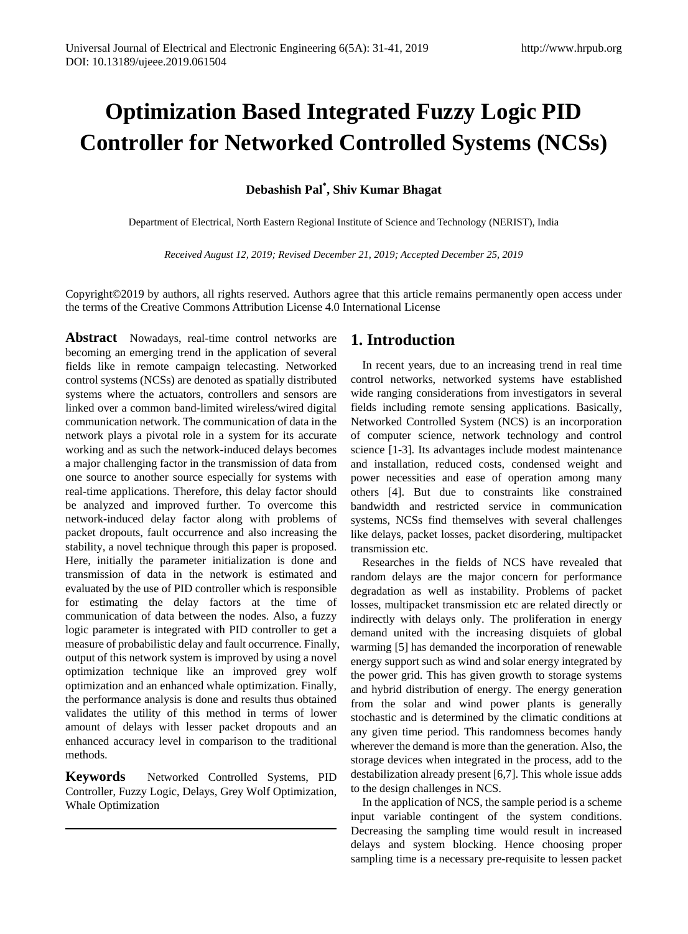# **Optimization Based Integrated Fuzzy Logic PID Controller for Networked Controlled Systems (NCSs)**

### **Debashish Pal\* , Shiv Kumar Bhagat**

Department of Electrical, North Eastern Regional Institute of Science and Technology (NERIST), India

*Received August 12, 2019; Revised December 21, 2019; Accepted December 25, 2019*

Copyright©2019 by authors, all rights reserved. Authors agree that this article remains permanently open access under the terms of the Creative Commons Attribution License 4.0 International License

**Abstract** Nowadays, real-time control networks are becoming an emerging trend in the application of several fields like in remote campaign telecasting. Networked control systems (NCSs) are denoted as spatially distributed systems where the actuators, controllers and sensors are linked over a common band-limited wireless/wired digital communication network. The communication of data in the network plays a pivotal role in a system for its accurate working and as such the network-induced delays becomes a major challenging factor in the transmission of data from one source to another source especially for systems with real-time applications. Therefore, this delay factor should be analyzed and improved further. To overcome this network-induced delay factor along with problems of packet dropouts, fault occurrence and also increasing the stability, a novel technique through this paper is proposed. Here, initially the parameter initialization is done and transmission of data in the network is estimated and evaluated by the use of PID controller which is responsible for estimating the delay factors at the time of communication of data between the nodes. Also, a fuzzy logic parameter is integrated with PID controller to get a measure of probabilistic delay and fault occurrence. Finally, output of this network system is improved by using a novel optimization technique like an improved grey wolf optimization and an enhanced whale optimization. Finally, the performance analysis is done and results thus obtained validates the utility of this method in terms of lower amount of delays with lesser packet dropouts and an enhanced accuracy level in comparison to the traditional methods.

**Keywords** Networked Controlled Systems, PID Controller, Fuzzy Logic, Delays, Grey Wolf Optimization, Whale Optimization

### **1. Introduction**

In recent years, due to an increasing trend in real time control networks, networked systems have established wide ranging considerations from investigators in several fields including remote sensing applications. Basically, Networked Controlled System (NCS) is an incorporation of computer science, network technology and control science [1-3]. Its advantages include modest maintenance and installation, reduced costs, condensed weight and power necessities and ease of operation among many others [4]. But due to constraints like constrained bandwidth and restricted service in communication systems, NCSs find themselves with several challenges like delays, packet losses, packet disordering, multipacket transmission etc.

Researches in the fields of NCS have revealed that random delays are the major concern for performance degradation as well as instability. Problems of packet losses, multipacket transmission etc are related directly or indirectly with delays only. The proliferation in energy demand united with the increasing disquiets of global warming [5] has demanded the incorporation of renewable energy support such as wind and solar energy integrated by the power grid. This has given growth to storage systems and hybrid distribution of energy. The energy generation from the solar and wind power plants is generally stochastic and is determined by the climatic conditions at any given time period. This randomness becomes handy wherever the demand is more than the generation. Also, the storage devices when integrated in the process, add to the destabilization already present [6,7]. This whole issue adds to the design challenges in NCS.

In the application of NCS, the sample period is a scheme input variable contingent of the system conditions. Decreasing the sampling time would result in increased delays and system blocking. Hence choosing proper sampling time is a necessary pre-requisite to lessen packet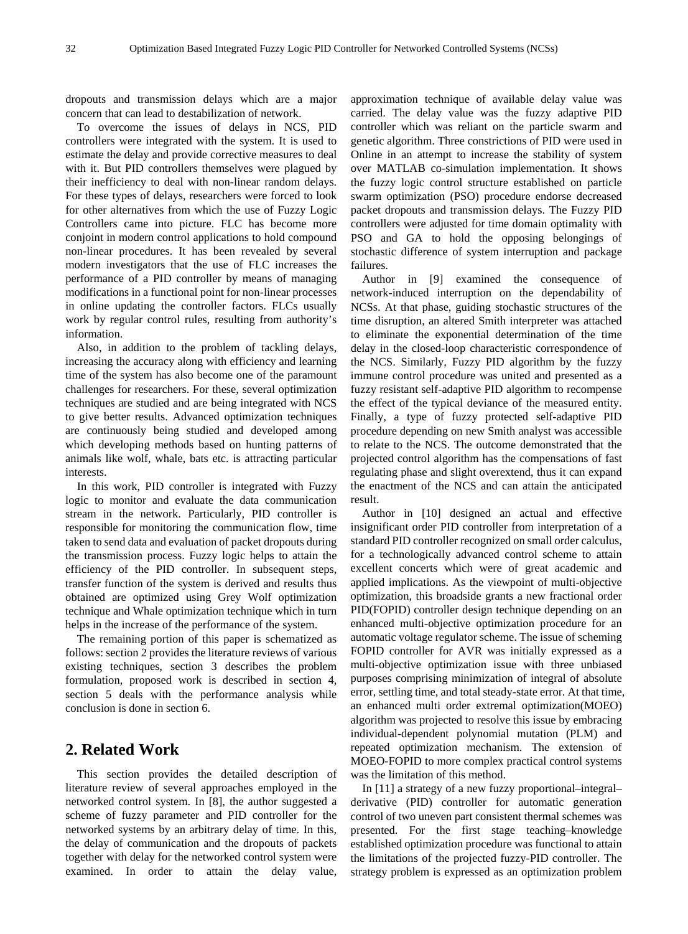dropouts and transmission delays which are a major concern that can lead to destabilization of network.

To overcome the issues of delays in NCS, PID controllers were integrated with the system. It is used to estimate the delay and provide corrective measures to deal with it. But PID controllers themselves were plagued by their inefficiency to deal with non-linear random delays. For these types of delays, researchers were forced to look for other alternatives from which the use of Fuzzy Logic Controllers came into picture. FLC has become more conjoint in modern control applications to hold compound non-linear procedures. It has been revealed by several modern investigators that the use of FLC increases the performance of a PID controller by means of managing modifications in a functional point for non-linear processes in online updating the controller factors. FLCs usually work by regular control rules, resulting from authority's information.

Also, in addition to the problem of tackling delays, increasing the accuracy along with efficiency and learning time of the system has also become one of the paramount challenges for researchers. For these, several optimization techniques are studied and are being integrated with NCS to give better results. Advanced optimization techniques are continuously being studied and developed among which developing methods based on hunting patterns of animals like wolf, whale, bats etc. is attracting particular interests.

In this work, PID controller is integrated with Fuzzy logic to monitor and evaluate the data communication stream in the network. Particularly, PID controller is responsible for monitoring the communication flow, time taken to send data and evaluation of packet dropouts during the transmission process. Fuzzy logic helps to attain the efficiency of the PID controller. In subsequent steps, transfer function of the system is derived and results thus obtained are optimized using Grey Wolf optimization technique and Whale optimization technique which in turn helps in the increase of the performance of the system.

The remaining portion of this paper is schematized as follows: section 2 provides the literature reviews of various existing techniques, section 3 describes the problem formulation, proposed work is described in section 4, section 5 deals with the performance analysis while conclusion is done in section 6.

### **2. Related Work**

This section provides the detailed description of literature review of several approaches employed in the networked control system. In [8], the author suggested a scheme of fuzzy parameter and PID controller for the networked systems by an arbitrary delay of time. In this, the delay of communication and the dropouts of packets together with delay for the networked control system were examined. In order to attain the delay value,

approximation technique of available delay value was carried. The delay value was the fuzzy adaptive PID controller which was reliant on the particle swarm and genetic algorithm. Three constrictions of PID were used in Online in an attempt to increase the stability of system over MATLAB co-simulation implementation. It shows the fuzzy logic control structure established on particle swarm optimization (PSO) procedure endorse decreased packet dropouts and transmission delays. The Fuzzy PID controllers were adjusted for time domain optimality with PSO and GA to hold the opposing belongings of stochastic difference of system interruption and package failures.

Author in [9] examined the consequence of network-induced interruption on the dependability of NCSs. At that phase, guiding stochastic structures of the time disruption, an altered Smith interpreter was attached to eliminate the exponential determination of the time delay in the closed-loop characteristic correspondence of the NCS. Similarly, Fuzzy PID algorithm by the fuzzy immune control procedure was united and presented as a fuzzy resistant self-adaptive PID algorithm to recompense the effect of the typical deviance of the measured entity. Finally, a type of fuzzy protected self-adaptive PID procedure depending on new Smith analyst was accessible to relate to the NCS. The outcome demonstrated that the projected control algorithm has the compensations of fast regulating phase and slight overextend, thus it can expand the enactment of the NCS and can attain the anticipated result.

Author in [10] designed an actual and effective insignificant order PID controller from interpretation of a standard PID controller recognized on small order calculus, for a technologically advanced control scheme to attain excellent concerts which were of great academic and applied implications. As the viewpoint of multi-objective optimization, this broadside grants a new fractional order PID(FOPID) controller design technique depending on an enhanced multi-objective optimization procedure for an automatic voltage regulator scheme. The issue of scheming FOPID controller for AVR was initially expressed as a multi-objective optimization issue with three unbiased purposes comprising minimization of integral of absolute error, settling time, and total steady-state error. At that time, an enhanced multi order extremal optimization(MOEO) algorithm was projected to resolve this issue by embracing individual-dependent polynomial mutation (PLM) and repeated optimization mechanism. The extension of MOEO-FOPID to more complex practical control systems was the limitation of this method.

In [11] a strategy of a new fuzzy proportional–integral– derivative (PID) controller for automatic generation control of two uneven part consistent thermal schemes was presented. For the first stage teaching–knowledge established optimization procedure was functional to attain the limitations of the projected fuzzy-PID controller. The strategy problem is expressed as an optimization problem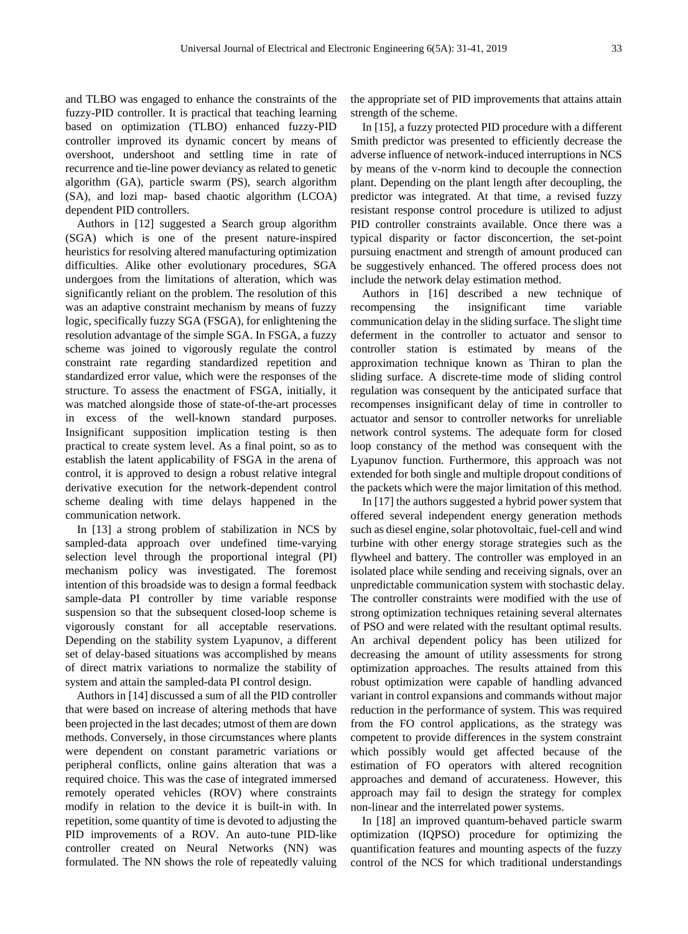and TLBO was engaged to enhance the constraints of the fuzzy-PID controller. It is practical that teaching learning based on optimization (TLBO) enhanced fuzzy-PID controller improved its dynamic concert by means of overshoot, undershoot and settling time in rate of recurrence and tie-line power deviancy as related to genetic algorithm (GA), particle swarm (PS), search algorithm (SA), and lozi map- based chaotic algorithm (LCOA) dependent PID controllers.

Authors in [12] suggested a Search group algorithm (SGA) which is one of the present nature-inspired heuristics for resolving altered manufacturing optimization difficulties. Alike other evolutionary procedures, SGA undergoes from the limitations of alteration, which was significantly reliant on the problem. The resolution of this was an adaptive constraint mechanism by means of fuzzy logic, specifically fuzzy SGA (FSGA), for enlightening the resolution advantage of the simple SGA. In FSGA, a fuzzy scheme was joined to vigorously regulate the control constraint rate regarding standardized repetition and standardized error value, which were the responses of the structure. To assess the enactment of FSGA, initially, it was matched alongside those of state-of-the-art processes in excess of the well-known standard purposes. Insignificant supposition implication testing is then practical to create system level. As a final point, so as to establish the latent applicability of FSGA in the arena of control, it is approved to design a robust relative integral derivative execution for the network-dependent control scheme dealing with time delays happened in the communication network.

In [13] a strong problem of stabilization in NCS by sampled-data approach over undefined time-varying selection level through the proportional integral (PI) mechanism policy was investigated. The foremost intention of this broadside was to design a formal feedback sample-data PI controller by time variable response suspension so that the subsequent closed-loop scheme is vigorously constant for all acceptable reservations. Depending on the stability system Lyapunov, a different set of delay-based situations was accomplished by means of direct matrix variations to normalize the stability of system and attain the sampled-data PI control design.

Authors in [14] discussed a sum of all the PID controller that were based on increase of altering methods that have been projected in the last decades; utmost of them are down methods. Conversely, in those circumstances where plants were dependent on constant parametric variations or peripheral conflicts, online gains alteration that was a required choice. This was the case of integrated immersed remotely operated vehicles (ROV) where constraints modify in relation to the device it is built-in with. In repetition, some quantity of time is devoted to adjusting the PID improvements of a ROV. An auto-tune PID-like controller created on Neural Networks (NN) was formulated. The NN shows the role of repeatedly valuing

the appropriate set of PID improvements that attains attain strength of the scheme.

In [15], a fuzzy protected PID procedure with a different Smith predictor was presented to efficiently decrease the adverse influence of network-induced interruptions in NCS by means of the v-norm kind to decouple the connection plant. Depending on the plant length after decoupling, the predictor was integrated. At that time, a revised fuzzy resistant response control procedure is utilized to adjust PID controller constraints available. Once there was a typical disparity or factor disconcertion, the set-point pursuing enactment and strength of amount produced can be suggestively enhanced. The offered process does not include the network delay estimation method.

Authors in [16] described a new technique of recompensing the insignificant time variable communication delay in the sliding surface. The slight time deferment in the controller to actuator and sensor to controller station is estimated by means of the approximation technique known as Thiran to plan the sliding surface. A discrete-time mode of sliding control regulation was consequent by the anticipated surface that recompenses insignificant delay of time in controller to actuator and sensor to controller networks for unreliable network control systems. The adequate form for closed loop constancy of the method was consequent with the Lyapunov function. Furthermore, this approach was not extended for both single and multiple dropout conditions of the packets which were the major limitation of this method.

In [17] the authors suggested a hybrid power system that offered several independent energy generation methods such as diesel engine, solar photovoltaic, fuel-cell and wind turbine with other energy storage strategies such as the flywheel and battery. The controller was employed in an isolated place while sending and receiving signals, over an unpredictable communication system with stochastic delay. The controller constraints were modified with the use of strong optimization techniques retaining several alternates of PSO and were related with the resultant optimal results. An archival dependent policy has been utilized for decreasing the amount of utility assessments for strong optimization approaches. The results attained from this robust optimization were capable of handling advanced variant in control expansions and commands without major reduction in the performance of system. This was required from the FO control applications, as the strategy was competent to provide differences in the system constraint which possibly would get affected because of the estimation of FO operators with altered recognition approaches and demand of accurateness. However, this approach may fail to design the strategy for complex non-linear and the interrelated power systems.

In [18] an improved quantum-behaved particle swarm optimization (IQPSO) procedure for optimizing the quantification features and mounting aspects of the fuzzy control of the NCS for which traditional understandings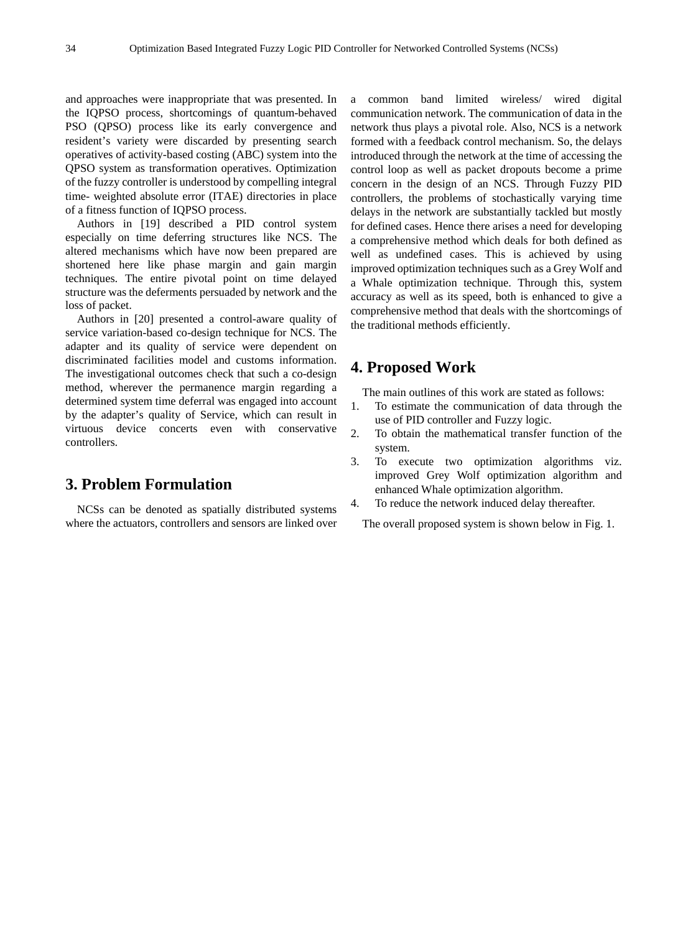and approaches were inappropriate that was presented. In the IQPSO process, shortcomings of quantum-behaved PSO (QPSO) process like its early convergence and resident's variety were discarded by presenting search operatives of activity-based costing (ABC) system into the QPSO system as transformation operatives. Optimization of the fuzzy controller is understood by compelling integral time- weighted absolute error (ITAE) directories in place of a fitness function of IQPSO process.

Authors in [19] described a PID control system especially on time deferring structures like NCS. The altered mechanisms which have now been prepared are shortened here like phase margin and gain margin techniques. The entire pivotal point on time delayed structure was the deferments persuaded by network and the loss of packet.

Authors in [20] presented a control-aware quality of service variation-based co-design technique for NCS. The adapter and its quality of service were dependent on discriminated facilities model and customs information. The investigational outcomes check that such a co-design method, wherever the permanence margin regarding a determined system time deferral was engaged into account by the adapter's quality of Service, which can result in virtuous device concerts even with conservative controllers.

### **3. Problem Formulation**

NCSs can be denoted as spatially distributed systems where the actuators, controllers and sensors are linked over a common band limited wireless/ wired digital communication network. The communication of data in the network thus plays a pivotal role. Also, NCS is a network formed with a feedback control mechanism. So, the delays introduced through the network at the time of accessing the control loop as well as packet dropouts become a prime concern in the design of an NCS. Through Fuzzy PID controllers, the problems of stochastically varying time delays in the network are substantially tackled but mostly for defined cases. Hence there arises a need for developing a comprehensive method which deals for both defined as well as undefined cases. This is achieved by using improved optimization techniques such as a Grey Wolf and a Whale optimization technique. Through this, system accuracy as well as its speed, both is enhanced to give a comprehensive method that deals with the shortcomings of the traditional methods efficiently.

### **4. Proposed Work**

The main outlines of this work are stated as follows:

- 1. To estimate the communication of data through the use of PID controller and Fuzzy logic.
- 2. To obtain the mathematical transfer function of the system.
- 3. To execute two optimization algorithms viz. improved Grey Wolf optimization algorithm and enhanced Whale optimization algorithm.
- 4. To reduce the network induced delay thereafter.

The overall proposed system is shown below in Fig. 1.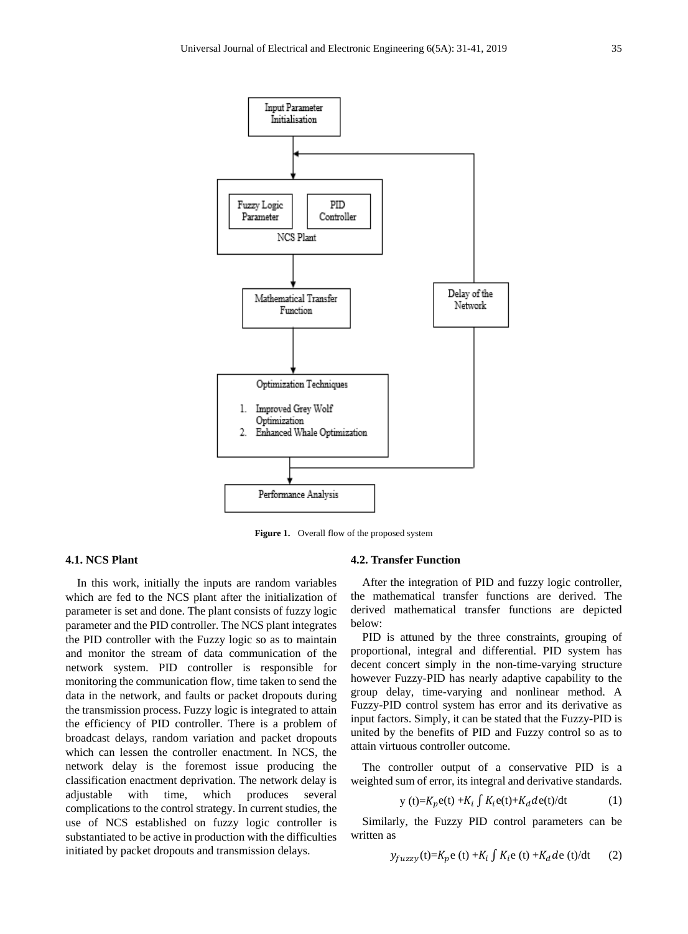

**Figure 1.** Overall flow of the proposed system

#### **4.1. NCS Plant**

In this work, initially the inputs are random variables which are fed to the NCS plant after the initialization of parameter is set and done. The plant consists of fuzzy logic parameter and the PID controller. The NCS plant integrates the PID controller with the Fuzzy logic so as to maintain and monitor the stream of data communication of the network system. PID controller is responsible for monitoring the communication flow, time taken to send the data in the network, and faults or packet dropouts during the transmission process. Fuzzy logic is integrated to attain the efficiency of PID controller. There is a problem of broadcast delays, random variation and packet dropouts which can lessen the controller enactment. In NCS, the network delay is the foremost issue producing the classification enactment deprivation. The network delay is adjustable with time, which produces several complications to the control strategy. In current studies, the use of NCS established on fuzzy logic controller is substantiated to be active in production with the difficulties initiated by packet dropouts and transmission delays.

#### **4.2. Transfer Function**

After the integration of PID and fuzzy logic controller, the mathematical transfer functions are derived. The derived mathematical transfer functions are depicted below:

PID is attuned by the three constraints, grouping of proportional, integral and differential. PID system has decent concert simply in the non-time-varying structure however Fuzzy-PID has nearly adaptive capability to the group delay, time-varying and nonlinear method. A Fuzzy-PID control system has error and its derivative as input factors. Simply, it can be stated that the Fuzzy-PID is united by the benefits of PID and Fuzzy control so as to attain virtuous controller outcome.

The controller output of a conservative PID is a weighted sum of error, its integral and derivative standards.

$$
y(t)=K_p e(t) + K_i \int K_i e(t) + K_d de(t)/dt \tag{1}
$$

Similarly, the Fuzzy PID control parameters can be written as

$$
y_{fuzzy}(t) = K_p e(t) + K_i \int K_i e(t) + K_d de(t)/dt \qquad (2)
$$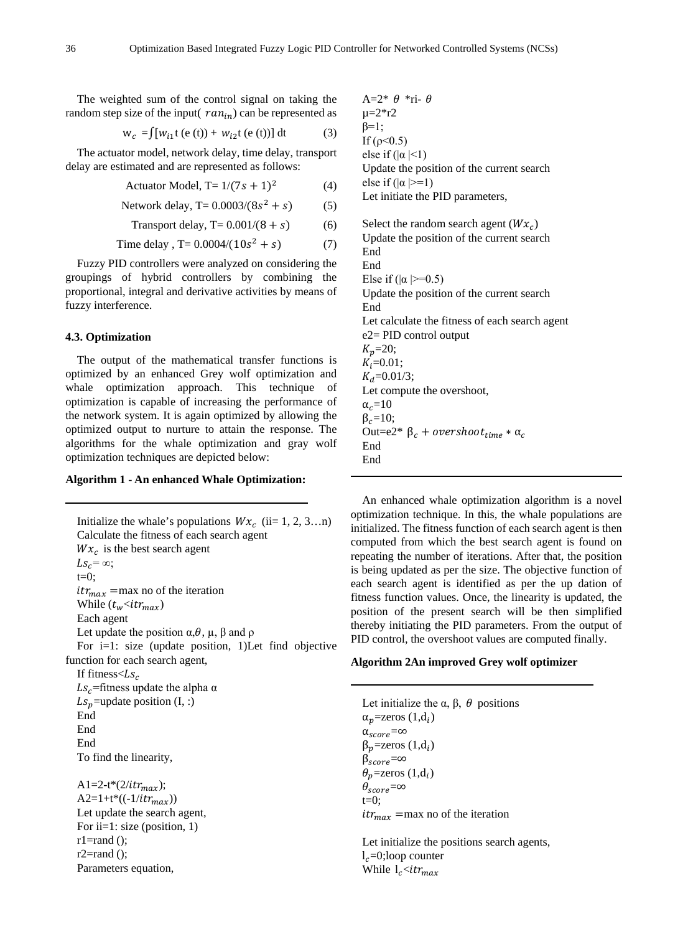The weighted sum of the control signal on taking the random step size of the input( $ran_{in}$ ) can be represented as

$$
w_c = \int [w_{i1}t (e (t)) + w_{i2}t (e (t))] dt
$$
 (3)

The actuator model, network delay, time delay, transport delay are estimated and are represented as follows:

$$
Actualor Model, T = 1/(7s + 1)^{2}
$$
 (4)

Network delay, T= 
$$
0.0003/(8s^2 + s)
$$
 (5)

Transport delay, 
$$
T = 0.001/(8 + s)
$$
 (6)

Time delay, T= 
$$
0.0004/(10s^2 + s)
$$
 (7)

Fuzzy PID controllers were analyzed on considering the groupings of hybrid controllers by combining the proportional, integral and derivative activities by means of fuzzy interference.

#### **4.3. Optimization**

The output of the mathematical transfer functions is optimized by an enhanced Grey wolf optimization and whale optimization approach. This technique of optimization is capable of increasing the performance of the network system. It is again optimized by allowing the optimized output to nurture to attain the response. The algorithms for the whale optimization and gray wolf optimization techniques are depicted below:

#### **Algorithm 1 - An enhanced Whale Optimization:**

Initialize the whale's populations  $Wx_c$  (ii= 1, 2, 3…n) Calculate the fitness of each search agent  $Wx_c$  is the best search agent  $Ls_c = \infty$ ;  $t=0$ ;  $itr_{max}$  =max no of the iteration While  $(t_w<$ *itr<sub>max</sub>* $)$ Each agent Let update the position  $\alpha, \theta, \mu, \beta$  and  $\rho$ For i=1: size (update position, 1)Let find objective function for each search agent, If fitness $<\mathrel{Ls_c}$  $Ls_c$ =fitness update the alpha  $\alpha$  $Ls_p$ =update position (I, :) End End End To find the linearity, A1=2-t\*(2/*itr<sub>max</sub>*);  $A2=1+t*((-1/itr_{max}))$ Let update the search agent, For ii=1: size (position, 1)  $r1=rand$  ();

 $r2 = rand$  ();

Parameters equation,

A=2\*  $\theta$  \*ri-  $\theta$  $\mu = 2 \cdot r2$  $\beta=1$ ; If  $(ρ < 0.5)$ else if  $(|\alpha|<1)$ Update the position of the current search else if  $(|\alpha|>=1)$ Let initiate the PID parameters, Select the random search agent  $(Wx_c)$ Update the position of the current search End End Else if  $(|\alpha|>=0.5)$ Update the position of the current search End Let calculate the fitness of each search agent e2= PID control output  $K_p = 20;$  $K_i = 0.01$ ;  $K_d$ =0.01/3; Let compute the overshoot,  $\alpha_c = 10$  $\beta_c=10;$ Out=e2\*  $β_c + overshoot_{time} * α_c$ End End

An enhanced whale optimization algorithm is a novel optimization technique. In this, the whale populations are initialized. The fitness function of each search agent is then computed from which the best search agent is found on repeating the number of iterations. After that, the position is being updated as per the size. The objective function of each search agent is identified as per the up dation of fitness function values. Once, the linearity is updated, the position of the present search will be then simplified thereby initiating the PID parameters. From the output of PID control, the overshoot values are computed finally.

#### **Algorithm 2An improved Grey wolf optimizer**

Let initialize the  $\alpha$ ,  $\beta$ ,  $\theta$  positions  $\alpha_n$ =zeros (1,d<sub>i</sub>)  $\alpha_{score}=\infty$  $β<sub>n</sub>=$ zeros (1,d<sub>i</sub>)  $\beta_{score}=\infty$  $\theta_p$ =zeros (1,d<sub>i</sub>)  $\theta_{score}=\infty$  $t=0$ :  $itr_{max}$  =max no of the iteration

Let initialize the positions search agents,  $l<sub>c</sub>=0$ ;loop counter While  $l_c$  <*i*t $r_{max}$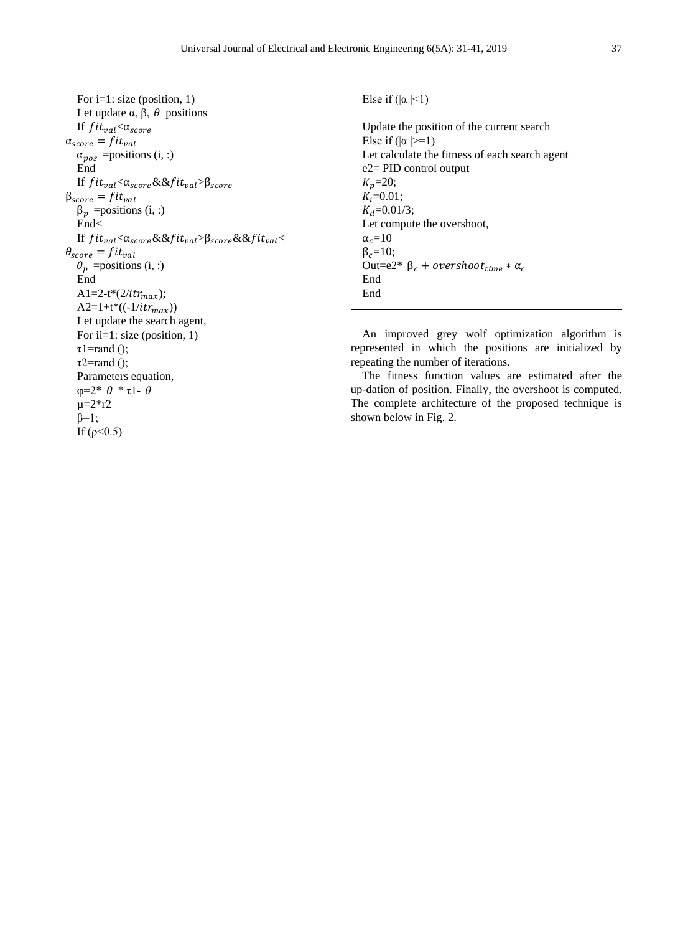For i=1: size (position, 1) Let update  $\alpha$ ,  $\beta$ ,  $\theta$  positions If  $fit_{val} < \alpha_{score}$  $\alpha_{score} = fit_{val}$  $\alpha_{pos}$  =positions (i, :) End If  $fit_{val} < \alpha_{score} \&\&fit_{val} > \beta_{score}$  $\beta_{score} = fit_{val}$  $\beta_p$  =positions (i, :) End< If  $fit_{val} < \alpha_{score} \&\&fit_{val} > \beta_{score} \&\&fit_{val} <$  $\theta_{score} = fit_{val}$  $\theta_p$  =positions (i, :) End A1=2-t\*(2/it $r_{max}$ );  $A2=1+t*((-1/itr_{max}))$ Let update the search agent, For ii=1: size (position, 1)  $\tau$ 1=rand ();  $\tau$ 2=rand (); Parameters equation,  $φ=2* θ *τ1- θ$ Update the position of the current search Else if  $(|\alpha|>=1)$ Let calculate the fitness of each search agent e2= PID control output  $K_n = 20;$  $K_i = 0.01;$  $K_d$ =0.01/3; Let compute the overshoot,  $\alpha_c = 10$  $\beta_c=10;$ Out=e2\*  $β_c + overshoot_{time} * α_c$ End End repeating the number of iterations.

 $\mu = 2 \cdot r2$  $\beta=1$ ; If (ρ  $(0.5)$  Else if  $(|\alpha|<1)$ 

An improved grey wolf optimization algorithm is represented in which the positions are initialized by

The fitness function values are estimated after the up-dation of position. Finally, the overshoot is computed. The complete architecture of the proposed technique is shown below in Fig. 2.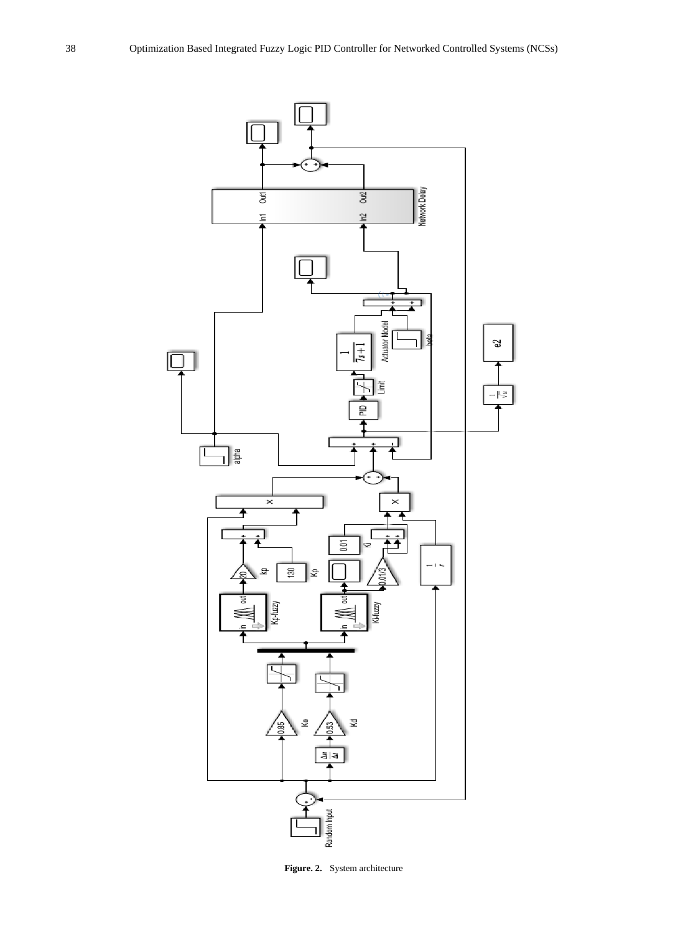

**Figure. 2.** System architecture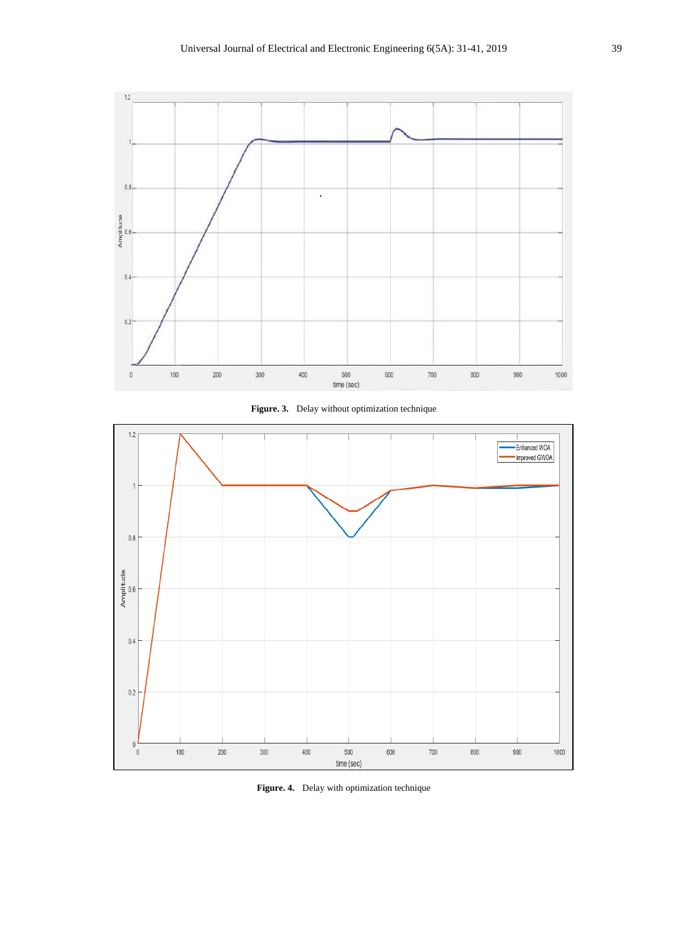





**Figure. 4.** Delay with optimization technique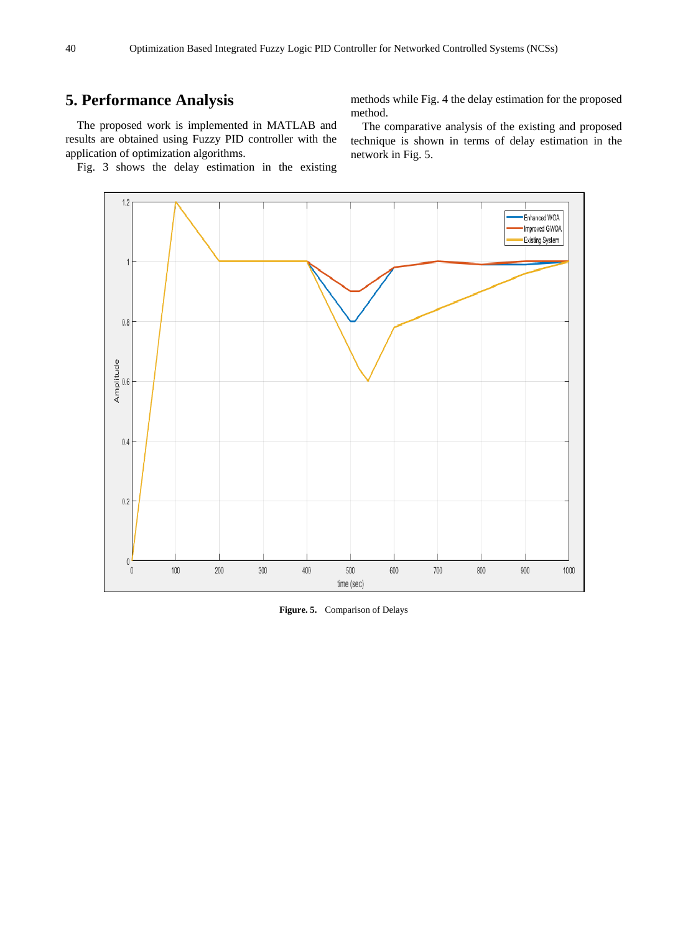## **5. Performance Analysis**

The proposed work is implemented in MATLAB and results are obtained using Fuzzy PID controller with the application of optimization algorithms.

Fig. 3 shows the delay estimation in the existing

methods while Fig. 4 the delay estimation for the proposed method.

The comparative analysis of the existing and proposed technique is shown in terms of delay estimation in the network in Fig. 5.



**Figure. 5.** Comparison of Delays